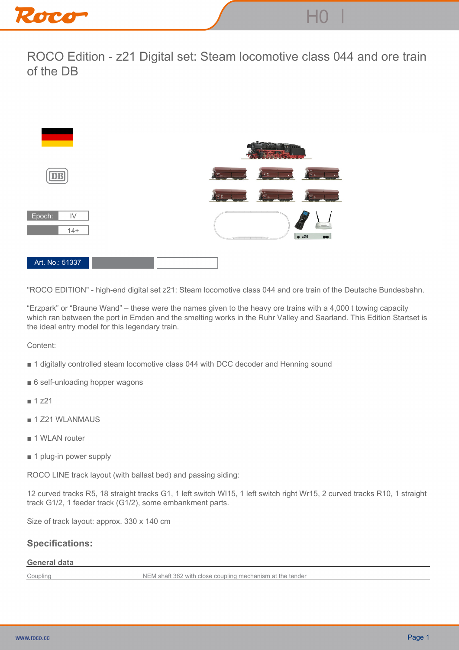

**ROCO Edition - z21 Digital set: Steam locomotive class 044 and ore train of the DB**



**"ROCO EDITION" - high-end digital set z21: Steam locomotive class 044 and ore train of the Deutsche Bundesbahn.**

**"Erzpark" or "Braune Wand" – these were the names given to the heavy ore trains with a 4,000 t towing capacity which ran between the port in Emden and the smelting works in the Ruhr Valley and Saarland. This Edition Startset is the ideal entry model for this legendary train.**

**Content:**

- **1 digitally controlled steam locomotive class 044 with DCC decoder and Henning sound**
- **6 self-unloading hopper wagons**
- **1 z21**
- **1 Z21 WLANMAUS**
- **1 WLAN router**
- **1 plug-in power supply**

**ROCO LINE track layout (with ballast bed) and passing siding:**

**12 curved tracks R5, 18 straight tracks G1, 1 left switch WI15, 1 left switch right Wr15, 2 curved tracks R10, 1 straight track G1/2, 1 feeder track (G1/2), some embankment parts.**

**Size of track layout: approx. 330 x 140 cm**

## **Specifications:**

## **General data**

**Coupling NEM shaft 362 with close coupling mechanism at the tender**